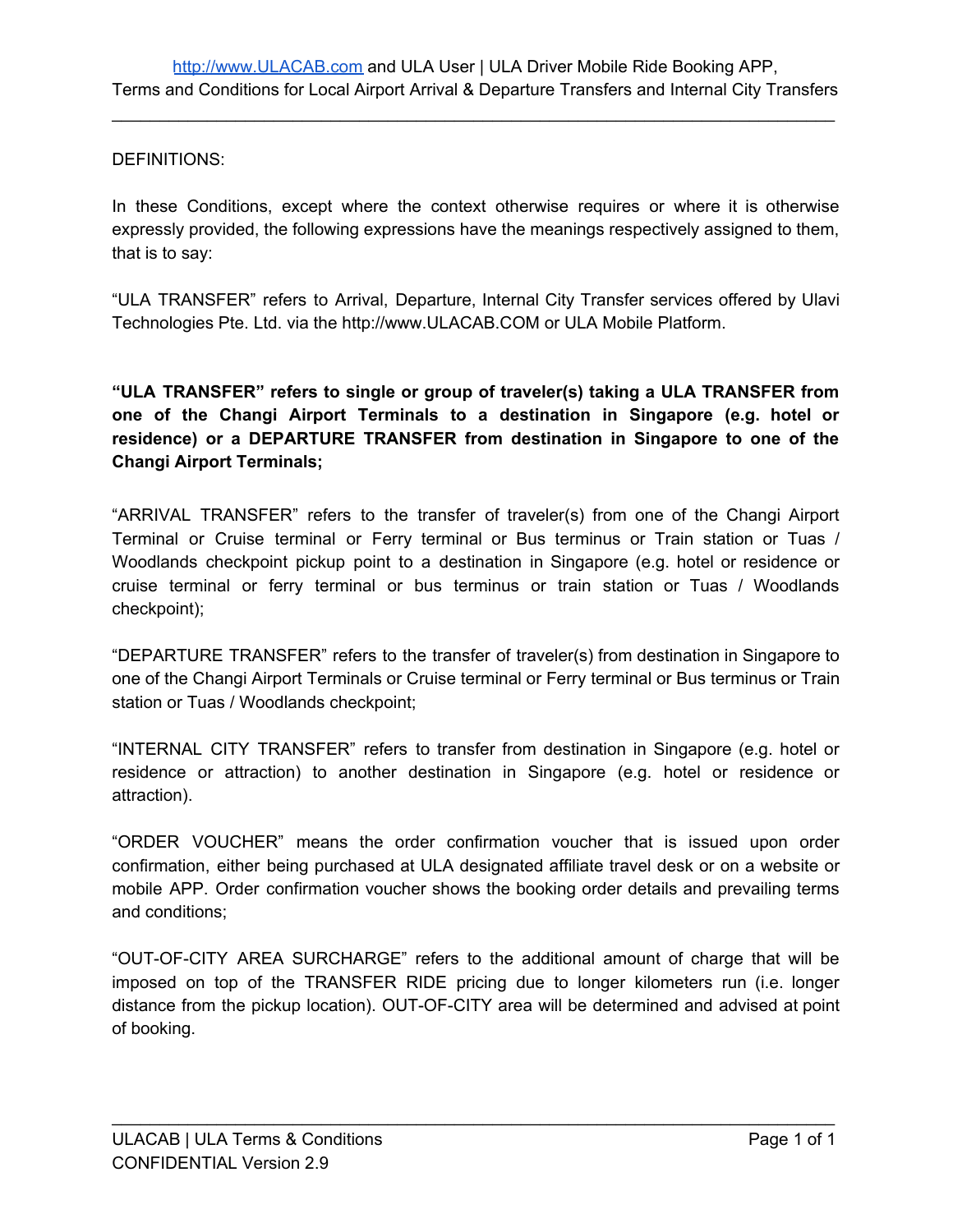### DEFINITIONS:

In these Conditions, except where the context otherwise requires or where it is otherwise expressly provided, the following expressions have the meanings respectively assigned to them, that is to say:

"ULA TRANSFER" refers to Arrival, Departure, Internal City Transfer services offered by Ulavi Technologies Pte. Ltd. via the http://www.ULACAB.COM or ULA Mobile Platform.

**"ULA TRANSFER" refers to single or group of traveler(s) taking a ULA TRANSFER from one of the Changi Airport Terminals to a destination in Singapore (e.g. hotel or residence) or a DEPARTURE TRANSFER from destination in Singapore to one of the Changi Airport Terminals;**

"ARRIVAL TRANSFER" refers to the transfer of traveler(s) from one of the Changi Airport Terminal or Cruise terminal or Ferry terminal or Bus terminus or Train station or Tuas / Woodlands checkpoint pickup point to a destination in Singapore (e.g. hotel or residence or cruise terminal or ferry terminal or bus terminus or train station or Tuas / Woodlands checkpoint);

"DEPARTURE TRANSFER" refers to the transfer of traveler(s) from destination in Singapore to one of the Changi Airport Terminals or Cruise terminal or Ferry terminal or Bus terminus or Train station or Tuas / Woodlands checkpoint;

"INTERNAL CITY TRANSFER" refers to transfer from destination in Singapore (e.g. hotel or residence or attraction) to another destination in Singapore (e.g. hotel or residence or attraction).

"ORDER VOUCHER" means the order confirmation voucher that is issued upon order confirmation, either being purchased at ULA designated affiliate travel desk or on a website or mobile APP. Order confirmation voucher shows the booking order details and prevailing terms and conditions;

"OUT-OF-CITY AREA SURCHARGE" refers to the additional amount of charge that will be imposed on top of the TRANSFER RIDE pricing due to longer kilometers run (i.e. longer distance from the pickup location). OUT-OF-CITY area will be determined and advised at point of booking.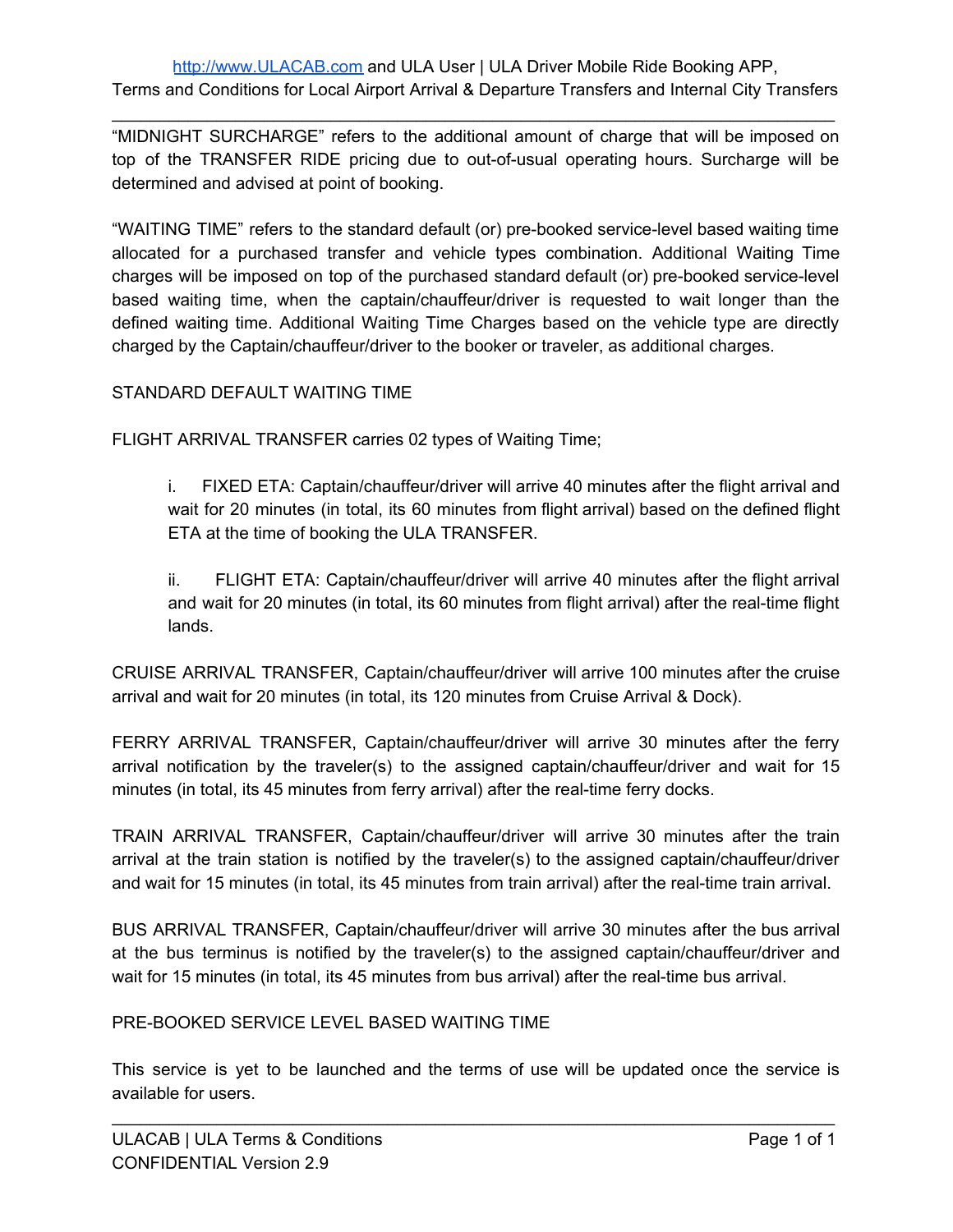"MIDNIGHT SURCHARGE" refers to the additional amount of charge that will be imposed on top of the TRANSFER RIDE pricing due to out-of-usual operating hours. Surcharge will be determined and advised at point of booking.

"WAITING TIME" refers to the standard default (or) pre-booked service-level based waiting time allocated for a purchased transfer and vehicle types combination. Additional Waiting Time charges will be imposed on top of the purchased standard default (or) pre-booked service-level based waiting time, when the captain/chauffeur/driver is requested to wait longer than the defined waiting time. Additional Waiting Time Charges based on the vehicle type are directly charged by the Captain/chauffeur/driver to the booker or traveler, as additional charges.

# STANDARD DEFAULT WAITING TIME

FLIGHT ARRIVAL TRANSFER carries 02 types of Waiting Time;

i. FIXED ETA: Captain/chauffeur/driver will arrive 40 minutes after the flight arrival and wait for 20 minutes (in total, its 60 minutes from flight arrival) based on the defined flight ETA at the time of booking the ULA TRANSFER.

ii. FLIGHT ETA: Captain/chauffeur/driver will arrive 40 minutes after the flight arrival and wait for 20 minutes (in total, its 60 minutes from flight arrival) after the real-time flight lands.

CRUISE ARRIVAL TRANSFER, Captain/chauffeur/driver will arrive 100 minutes after the cruise arrival and wait for 20 minutes (in total, its 120 minutes from Cruise Arrival & Dock).

FERRY ARRIVAL TRANSFER, Captain/chauffeur/driver will arrive 30 minutes after the ferry arrival notification by the traveler(s) to the assigned captain/chauffeur/driver and wait for 15 minutes (in total, its 45 minutes from ferry arrival) after the real-time ferry docks.

TRAIN ARRIVAL TRANSFER, Captain/chauffeur/driver will arrive 30 minutes after the train arrival at the train station is notified by the traveler(s) to the assigned captain/chauffeur/driver and wait for 15 minutes (in total, its 45 minutes from train arrival) after the real-time train arrival.

BUS ARRIVAL TRANSFER, Captain/chauffeur/driver will arrive 30 minutes after the bus arrival at the bus terminus is notified by the traveler(s) to the assigned captain/chauffeur/driver and wait for 15 minutes (in total, its 45 minutes from bus arrival) after the real-time bus arrival.

PRE-BOOKED SERVICE LEVEL BASED WAITING TIME

This service is yet to be launched and the terms of use will be updated once the service is available for users.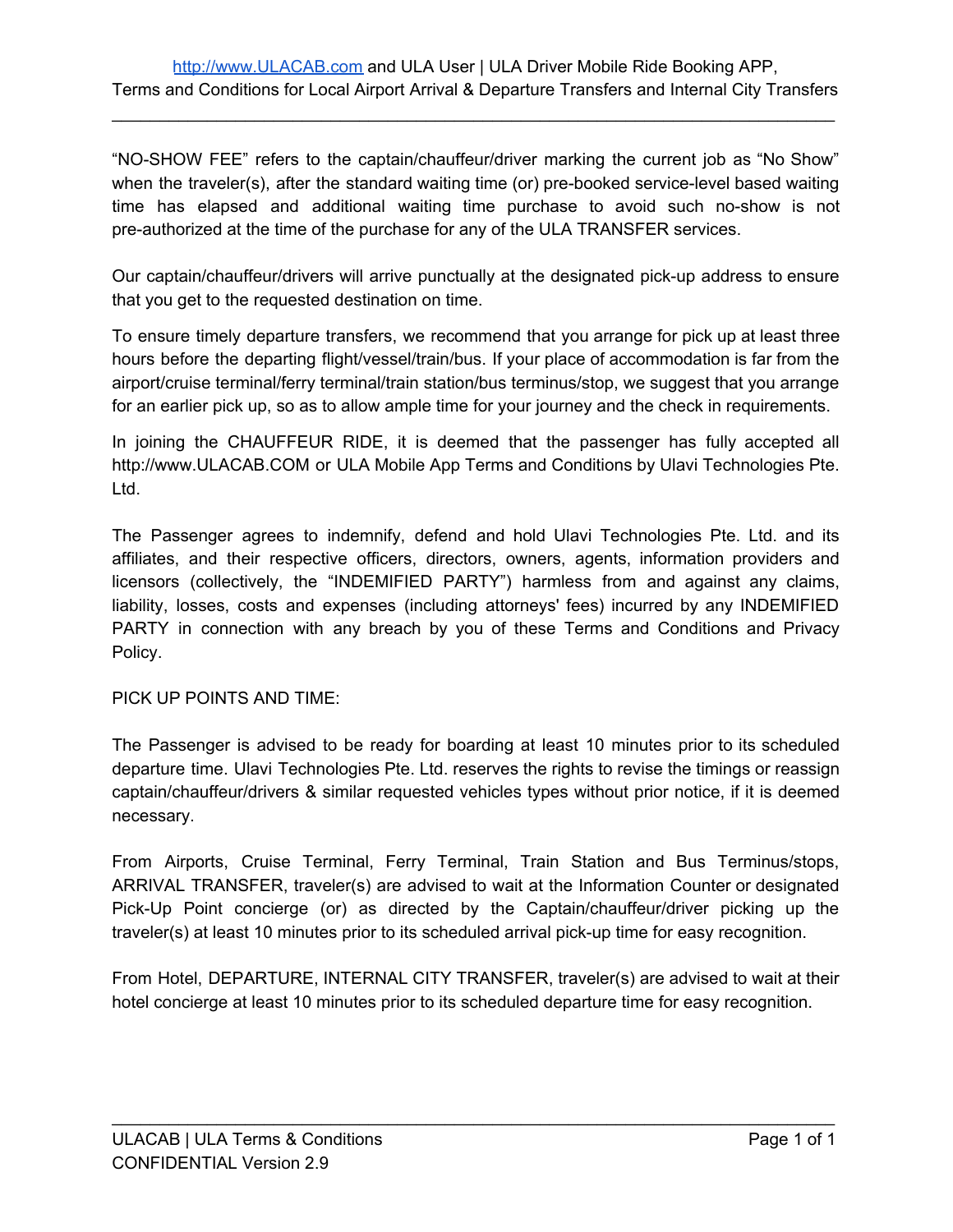"NO-SHOW FEE" refers to the captain/chauffeur/driver marking the current job as "No Show" when the traveler(s), after the standard waiting time (or) pre-booked service-level based waiting time has elapsed and additional waiting time purchase to avoid such no-show is not pre-authorized at the time of the purchase for any of the ULA TRANSFER services.

Our captain/chauffeur/drivers will arrive punctually at the designated pick-up address to ensure that you get to the requested destination on time.

To ensure timely departure transfers, we recommend that you arrange for pick up at least three hours before the departing flight/vessel/train/bus. If your place of accommodation is far from the airport/cruise terminal/ferry terminal/train station/bus terminus/stop, we suggest that you arrange for an earlier pick up, so as to allow ample time for your journey and the check in requirements.

In joining the CHAUFFEUR RIDE, it is deemed that the passenger has fully accepted all http://www.ULACAB.COM or ULA Mobile App Terms and Conditions by Ulavi Technologies Pte. Ltd.

The Passenger agrees to indemnify, defend and hold Ulavi Technologies Pte. Ltd. and its affiliates, and their respective officers, directors, owners, agents, information providers and licensors (collectively, the "INDEMIFIED PARTY") harmless from and against any claims, liability, losses, costs and expenses (including attorneys' fees) incurred by any INDEMIFIED PARTY in connection with any breach by you of these Terms and Conditions and Privacy Policy.

PICK UP POINTS AND TIME:

The Passenger is advised to be ready for boarding at least 10 minutes prior to its scheduled departure time. Ulavi Technologies Pte. Ltd. reserves the rights to revise the timings or reassign captain/chauffeur/drivers & similar requested vehicles types without prior notice, if it is deemed necessary.

From Airports, Cruise Terminal, Ferry Terminal, Train Station and Bus Terminus/stops, ARRIVAL TRANSFER, traveler(s) are advised to wait at the Information Counter or designated Pick-Up Point concierge (or) as directed by the Captain/chauffeur/driver picking up the traveler(s) at least 10 minutes prior to its scheduled arrival pick-up time for easy recognition.

From Hotel, DEPARTURE, INTERNAL CITY TRANSFER, traveler(s) are advised to wait at their hotel concierge at least 10 minutes prior to its scheduled departure time for easy recognition.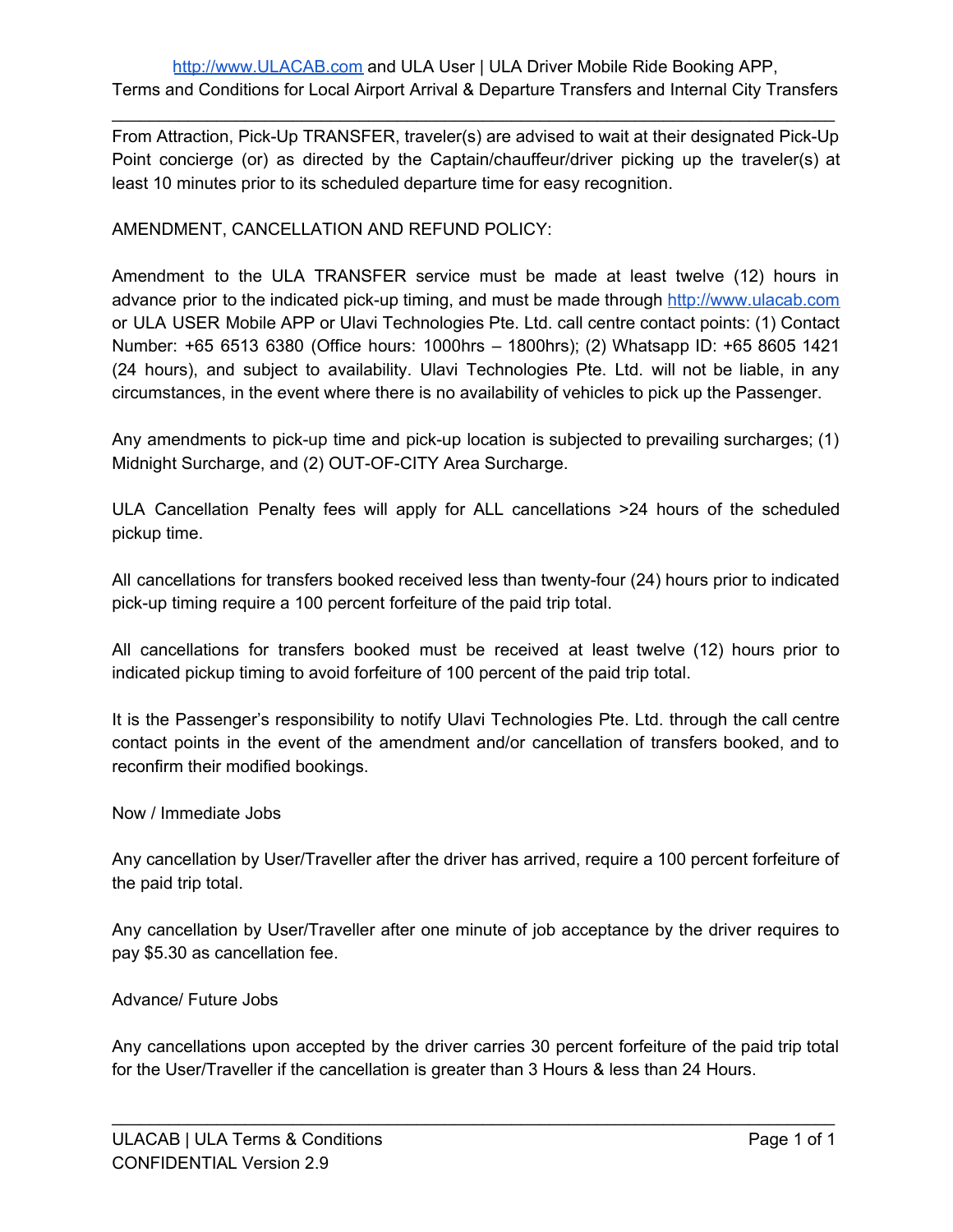From Attraction, Pick-Up TRANSFER, traveler(s) are advised to wait at their designated Pick-Up Point concierge (or) as directed by the Captain/chauffeur/driver picking up the traveler(s) at least 10 minutes prior to its scheduled departure time for easy recognition.

### AMENDMENT, CANCELLATION AND REFUND POLICY:

Amendment to the ULA TRANSFER service must be made at least twelve (12) hours in advance prior to the indicated pick-up timing, and must be made through [http://www.ulacab.com](http://www.ulacab.com/) or ULA USER Mobile APP or Ulavi Technologies Pte. Ltd. call centre contact points: (1) Contact Number: +65 6513 6380 (Office hours: 1000hrs – 1800hrs); (2) Whatsapp ID: +65 8605 1421 (24 hours), and subject to availability. Ulavi Technologies Pte. Ltd. will not be liable, in any circumstances, in the event where there is no availability of vehicles to pick up the Passenger.

Any amendments to pick-up time and pick-up location is subjected to prevailing surcharges; (1) Midnight Surcharge, and (2) OUT-OF-CITY Area Surcharge.

ULA Cancellation Penalty fees will apply for ALL cancellations >24 hours of the scheduled pickup time.

All cancellations for transfers booked received less than twenty-four (24) hours prior to indicated pick-up timing require a 100 percent forfeiture of the paid trip total.

All cancellations for transfers booked must be received at least twelve (12) hours prior to indicated pickup timing to avoid forfeiture of 100 percent of the paid trip total.

It is the Passenger's responsibility to notify Ulavi Technologies Pte. Ltd. through the call centre contact points in the event of the amendment and/or cancellation of transfers booked, and to reconfirm their modified bookings.

#### Now / Immediate Jobs

Any cancellation by User/Traveller after the driver has arrived, require a 100 percent forfeiture of the paid trip total.

Any cancellation by User/Traveller after one minute of job acceptance by the driver requires to pay \$5.30 as cancellation fee.

#### Advance/ Future Jobs

Any cancellations upon accepted by the driver carries 30 percent forfeiture of the paid trip total for the User/Traveller if the cancellation is greater than 3 Hours & less than 24 Hours.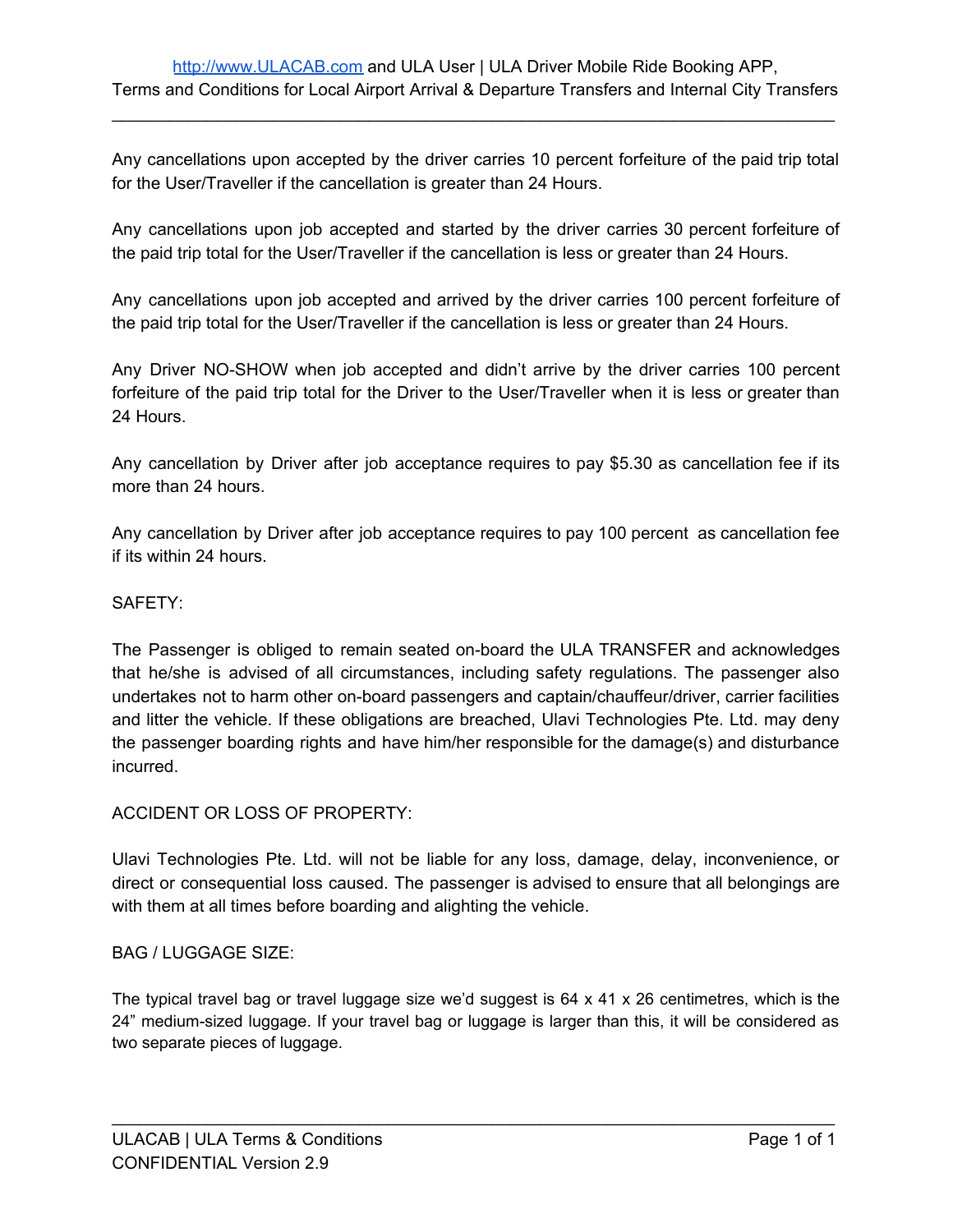Any cancellations upon accepted by the driver carries 10 percent forfeiture of the paid trip total for the User/Traveller if the cancellation is greater than 24 Hours.

Any cancellations upon job accepted and started by the driver carries 30 percent forfeiture of the paid trip total for the User/Traveller if the cancellation is less or greater than 24 Hours.

Any cancellations upon job accepted and arrived by the driver carries 100 percent forfeiture of the paid trip total for the User/Traveller if the cancellation is less or greater than 24 Hours.

Any Driver NO-SHOW when job accepted and didn't arrive by the driver carries 100 percent forfeiture of the paid trip total for the Driver to the User/Traveller when it is less or greater than 24 Hours.

Any cancellation by Driver after job acceptance requires to pay \$5.30 as cancellation fee if its more than 24 hours.

Any cancellation by Driver after job acceptance requires to pay 100 percent as cancellation fee if its within 24 hours.

### SAFETY:

The Passenger is obliged to remain seated on-board the ULA TRANSFER and acknowledges that he/she is advised of all circumstances, including safety regulations. The passenger also undertakes not to harm other on-board passengers and captain/chauffeur/driver, carrier facilities and litter the vehicle. If these obligations are breached, Ulavi Technologies Pte. Ltd. may deny the passenger boarding rights and have him/her responsible for the damage(s) and disturbance incurred.

# ACCIDENT OR LOSS OF PROPERTY:

Ulavi Technologies Pte. Ltd. will not be liable for any loss, damage, delay, inconvenience, or direct or consequential loss caused. The passenger is advised to ensure that all belongings are with them at all times before boarding and alighting the vehicle.

#### BAG / LUGGAGE SIZE:

The typical travel bag or travel luggage size we'd suggest is 64 x 41 x 26 centimetres, which is the 24" medium-sized luggage. If your travel bag or luggage is larger than this, it will be considered as two separate pieces of luggage.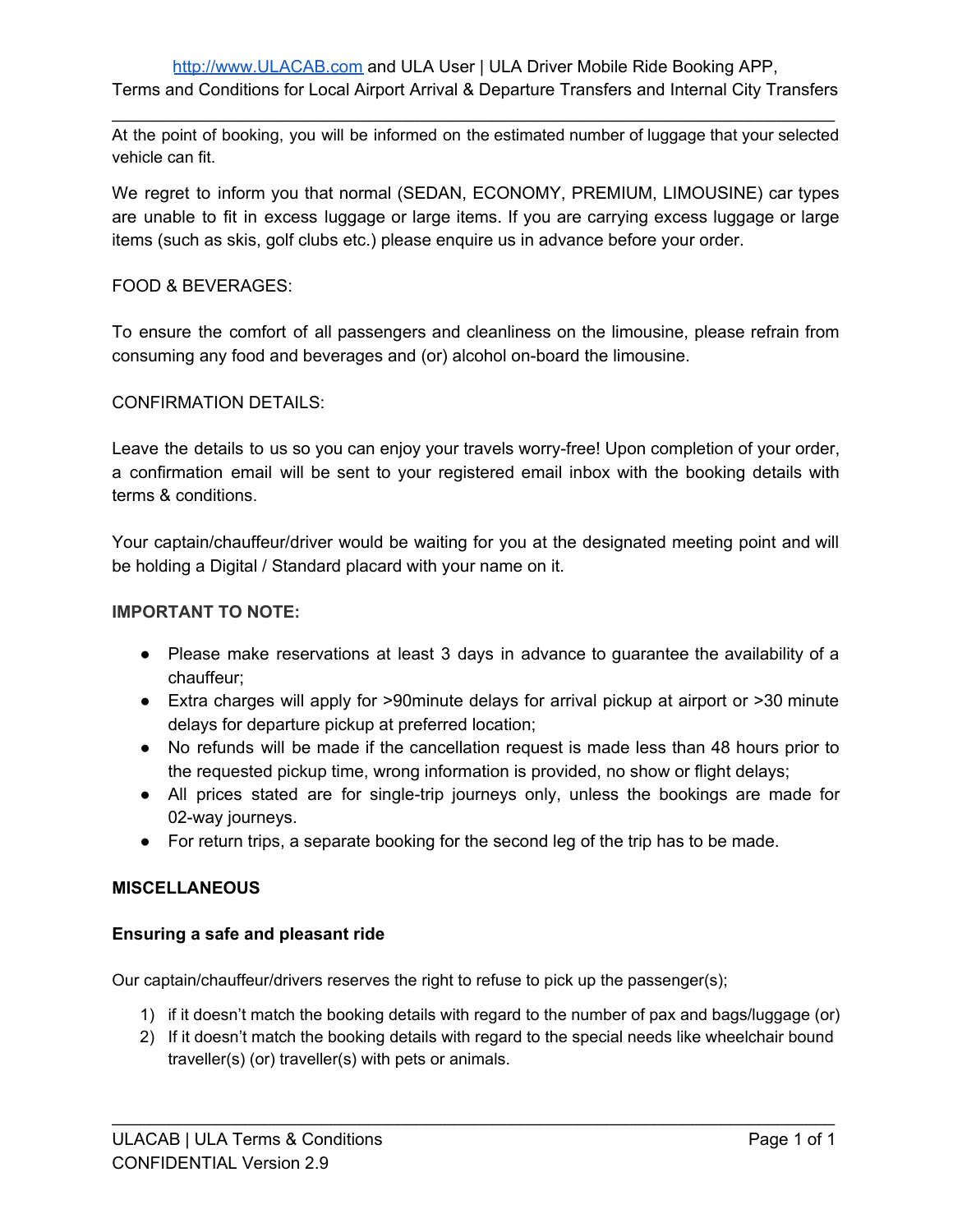At the point of booking, you will be informed on the estimated number of luggage that your selected vehicle can fit.

We regret to inform you that normal (SEDAN, ECONOMY, PREMIUM, LIMOUSINE) car types are unable to fit in excess luggage or large items. If you are carrying excess luggage or large items (such as skis, golf clubs etc.) please enquire us in advance before your order.

# FOOD & BEVERAGES:

To ensure the comfort of all passengers and cleanliness on the limousine, please refrain from consuming any food and beverages and (or) alcohol on-board the limousine.

# CONFIRMATION DETAILS:

Leave the details to us so you can enjoy your travels worry-free! Upon completion of your order, a confirmation email will be sent to your registered email inbox with the booking details with terms & conditions.

Your captain/chauffeur/driver would be waiting for you at the designated meeting point and will be holding a Digital / Standard placard with your name on it.

### **IMPORTANT TO NOTE:**

- Please make reservations at least 3 days in advance to guarantee the availability of a chauffeur;
- Extra charges will apply for >90minute delays for arrival pickup at airport or >30 minute delays for departure pickup at preferred location;
- No refunds will be made if the cancellation request is made less than 48 hours prior to the requested pickup time, wrong information is provided, no show or flight delays;
- All prices stated are for single-trip journeys only, unless the bookings are made for 02-way journeys.
- For return trips, a separate booking for the second leg of the trip has to be made.

# **MISCELLANEOUS**

# **Ensuring a safe and pleasant ride**

Our captain/chauffeur/drivers reserves the right to refuse to pick up the passenger(s);

- 1) if it doesn't match the booking details with regard to the number of pax and bags/luggage (or)
- 2) If it doesn't match the booking details with regard to the special needs like wheelchair bound traveller(s) (or) traveller(s) with pets or animals.